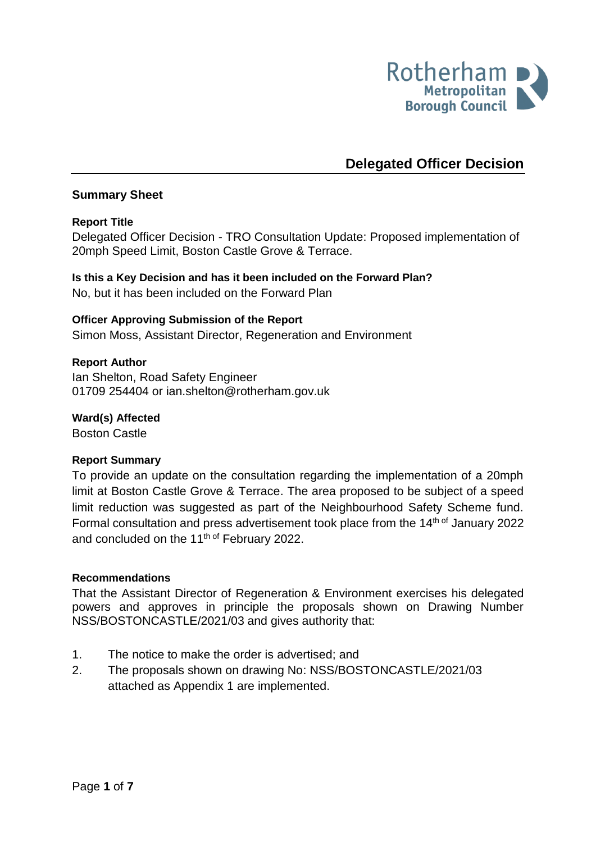

# **Delegated Officer Decision**

## **Summary Sheet**

## **Report Title**

<span id="page-0-0"></span>Delegated Officer Decision - TRO Consultation Update: Proposed implementation of 20mph Speed Limit, Boston Castle Grove & Terrace.

**Is this a Key Decision and has it been included on the Forward Plan?**  No, but it has been included on the Forward Plan

#### **Officer Approving Submission of the Report**

Simon Moss, Assistant Director, Regeneration and Environment

#### **Report Author**

<span id="page-0-1"></span>Ian Shelton, Road Safety Engineer 01709 254404 or ian.shelton@rotherham.gov.uk

#### **Ward(s) Affected**

Boston Castle

#### **Report Summary**

To provide an update on the consultation regarding the implementation of a 20mph limit at Boston Castle Grove & Terrace. The area proposed to be subject of a speed limit reduction was suggested as part of the Neighbourhood Safety Scheme fund. Formal consultation and press advertisement took place from the 14<sup>th of</sup> January 2022 and concluded on the 11<sup>th of</sup> February 2022.

#### **Recommendations**

That the Assistant Director of Regeneration & Environment exercises his delegated powers and approves in principle the proposals shown on Drawing Number NSS/BOSTONCASTLE/2021/03 and gives authority that:

- 1. The notice to make the order is advertised; and
- 2. The proposals shown on drawing No: NSS/BOSTONCASTLE/2021/03 attached as Appendix 1 are implemented.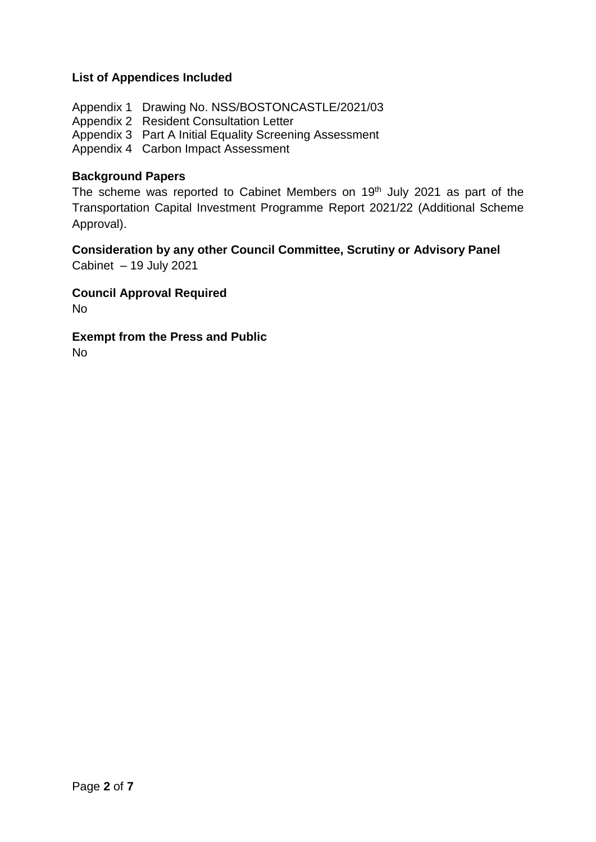## **List of Appendices Included**

Appendix 1 Drawing No. NSS/BOSTONCASTLE/2021/03 Appendix 2 Resident Consultation Letter Appendix 3 Part A Initial Equality Screening Assessment Appendix 4 Carbon Impact Assessment

#### **Background Papers**

The scheme was reported to Cabinet Members on 19<sup>th</sup> July 2021 as part of the Transportation Capital Investment Programme Report 2021/22 (Additional Scheme Approval).

# **Consideration by any other Council Committee, Scrutiny or Advisory Panel**

Cabinet – 19 July 2021

# **Council Approval Required**

No

## **Exempt from the Press and Public**

No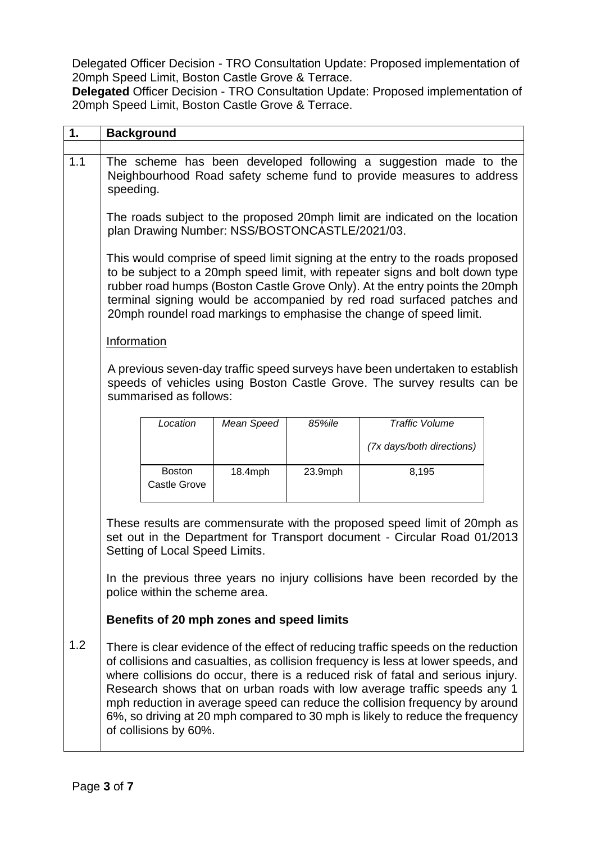Delegated Officer Decision - [TRO Consultation Update: Proposed implementation of](#page-0-0)  20mph Speed Limit, [Boston Castle Grove & Terrace.](#page-0-0)

**Delegated** Officer Decision - [TRO Consultation Update: Proposed implementation of](#page-0-0)  20mph Speed Limit, [Boston Castle Grove & Terrace.](#page-0-0)

| 1.  | <b>Background</b>                                                                                                                                                                                                                                                                                                                                                                                                                                                                                                              |                                      |            |         |                           |  |  |  |  |
|-----|--------------------------------------------------------------------------------------------------------------------------------------------------------------------------------------------------------------------------------------------------------------------------------------------------------------------------------------------------------------------------------------------------------------------------------------------------------------------------------------------------------------------------------|--------------------------------------|------------|---------|---------------------------|--|--|--|--|
| 1.1 | The scheme has been developed following a suggestion made to the<br>Neighbourhood Road safety scheme fund to provide measures to address<br>speeding.                                                                                                                                                                                                                                                                                                                                                                          |                                      |            |         |                           |  |  |  |  |
|     | The roads subject to the proposed 20mph limit are indicated on the location<br>plan Drawing Number: NSS/BOSTONCASTLE/2021/03.                                                                                                                                                                                                                                                                                                                                                                                                  |                                      |            |         |                           |  |  |  |  |
|     | This would comprise of speed limit signing at the entry to the roads proposed<br>to be subject to a 20mph speed limit, with repeater signs and bolt down type<br>rubber road humps (Boston Castle Grove Only). At the entry points the 20mph<br>terminal signing would be accompanied by red road surfaced patches and<br>20mph roundel road markings to emphasise the change of speed limit.                                                                                                                                  |                                      |            |         |                           |  |  |  |  |
|     | <b>Information</b>                                                                                                                                                                                                                                                                                                                                                                                                                                                                                                             |                                      |            |         |                           |  |  |  |  |
|     | A previous seven-day traffic speed surveys have been undertaken to establish<br>speeds of vehicles using Boston Castle Grove. The survey results can be<br>summarised as follows:                                                                                                                                                                                                                                                                                                                                              |                                      |            |         |                           |  |  |  |  |
|     |                                                                                                                                                                                                                                                                                                                                                                                                                                                                                                                                | Location                             | Mean Speed | 85%ile  | <b>Traffic Volume</b>     |  |  |  |  |
|     |                                                                                                                                                                                                                                                                                                                                                                                                                                                                                                                                |                                      |            |         | (7x days/both directions) |  |  |  |  |
|     |                                                                                                                                                                                                                                                                                                                                                                                                                                                                                                                                | <b>Boston</b><br><b>Castle Grove</b> | 18.4mph    | 23.9mph | 8,195                     |  |  |  |  |
|     | These results are commensurate with the proposed speed limit of 20mph as<br>set out in the Department for Transport document - Circular Road 01/2013<br>Setting of Local Speed Limits.<br>In the previous three years no injury collisions have been recorded by the                                                                                                                                                                                                                                                           |                                      |            |         |                           |  |  |  |  |
|     | police within the scheme area.                                                                                                                                                                                                                                                                                                                                                                                                                                                                                                 |                                      |            |         |                           |  |  |  |  |
|     | Benefits of 20 mph zones and speed limits                                                                                                                                                                                                                                                                                                                                                                                                                                                                                      |                                      |            |         |                           |  |  |  |  |
| 1.2 | There is clear evidence of the effect of reducing traffic speeds on the reduction<br>of collisions and casualties, as collision frequency is less at lower speeds, and<br>where collisions do occur, there is a reduced risk of fatal and serious injury.<br>Research shows that on urban roads with low average traffic speeds any 1<br>mph reduction in average speed can reduce the collision frequency by around<br>6%, so driving at 20 mph compared to 30 mph is likely to reduce the frequency<br>of collisions by 60%. |                                      |            |         |                           |  |  |  |  |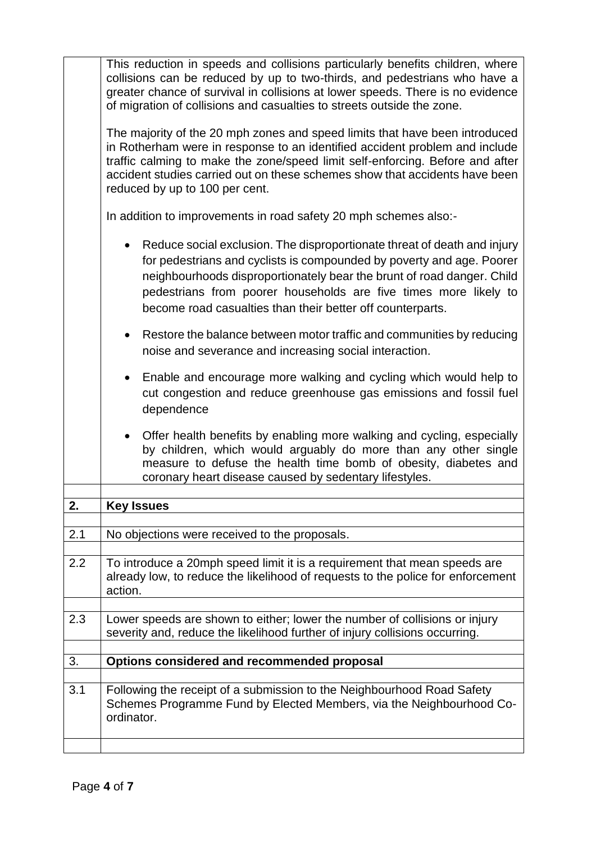|     | This reduction in speeds and collisions particularly benefits children, where<br>collisions can be reduced by up to two-thirds, and pedestrians who have a<br>greater chance of survival in collisions at lower speeds. There is no evidence<br>of migration of collisions and casualties to streets outside the zone.                                        |  |  |  |  |  |
|-----|---------------------------------------------------------------------------------------------------------------------------------------------------------------------------------------------------------------------------------------------------------------------------------------------------------------------------------------------------------------|--|--|--|--|--|
|     | The majority of the 20 mph zones and speed limits that have been introduced<br>in Rotherham were in response to an identified accident problem and include<br>traffic calming to make the zone/speed limit self-enforcing. Before and after<br>accident studies carried out on these schemes show that accidents have been<br>reduced by up to 100 per cent.  |  |  |  |  |  |
|     | In addition to improvements in road safety 20 mph schemes also:-                                                                                                                                                                                                                                                                                              |  |  |  |  |  |
|     | Reduce social exclusion. The disproportionate threat of death and injury<br>for pedestrians and cyclists is compounded by poverty and age. Poorer<br>neighbourhoods disproportionately bear the brunt of road danger. Child<br>pedestrians from poorer households are five times more likely to<br>become road casualties than their better off counterparts. |  |  |  |  |  |
|     | Restore the balance between motor traffic and communities by reducing<br>noise and severance and increasing social interaction.                                                                                                                                                                                                                               |  |  |  |  |  |
|     | Enable and encourage more walking and cycling which would help to<br>cut congestion and reduce greenhouse gas emissions and fossil fuel<br>dependence                                                                                                                                                                                                         |  |  |  |  |  |
|     | Offer health benefits by enabling more walking and cycling, especially<br>by children, which would arguably do more than any other single<br>measure to defuse the health time bomb of obesity, diabetes and<br>coronary heart disease caused by sedentary lifestyles.                                                                                        |  |  |  |  |  |
|     |                                                                                                                                                                                                                                                                                                                                                               |  |  |  |  |  |
| 2.  | <b>Key Issues</b>                                                                                                                                                                                                                                                                                                                                             |  |  |  |  |  |
|     |                                                                                                                                                                                                                                                                                                                                                               |  |  |  |  |  |
| 2.1 | No objections were received to the proposals.                                                                                                                                                                                                                                                                                                                 |  |  |  |  |  |
| 2.2 | To introduce a 20mph speed limit it is a requirement that mean speeds are<br>already low, to reduce the likelihood of requests to the police for enforcement<br>action.                                                                                                                                                                                       |  |  |  |  |  |
|     |                                                                                                                                                                                                                                                                                                                                                               |  |  |  |  |  |
| 2.3 | Lower speeds are shown to either; lower the number of collisions or injury<br>severity and, reduce the likelihood further of injury collisions occurring.                                                                                                                                                                                                     |  |  |  |  |  |
| 3.  | Options considered and recommended proposal                                                                                                                                                                                                                                                                                                                   |  |  |  |  |  |
|     |                                                                                                                                                                                                                                                                                                                                                               |  |  |  |  |  |
| 3.1 | Following the receipt of a submission to the Neighbourhood Road Safety<br>Schemes Programme Fund by Elected Members, via the Neighbourhood Co-<br>ordinator.                                                                                                                                                                                                  |  |  |  |  |  |
|     |                                                                                                                                                                                                                                                                                                                                                               |  |  |  |  |  |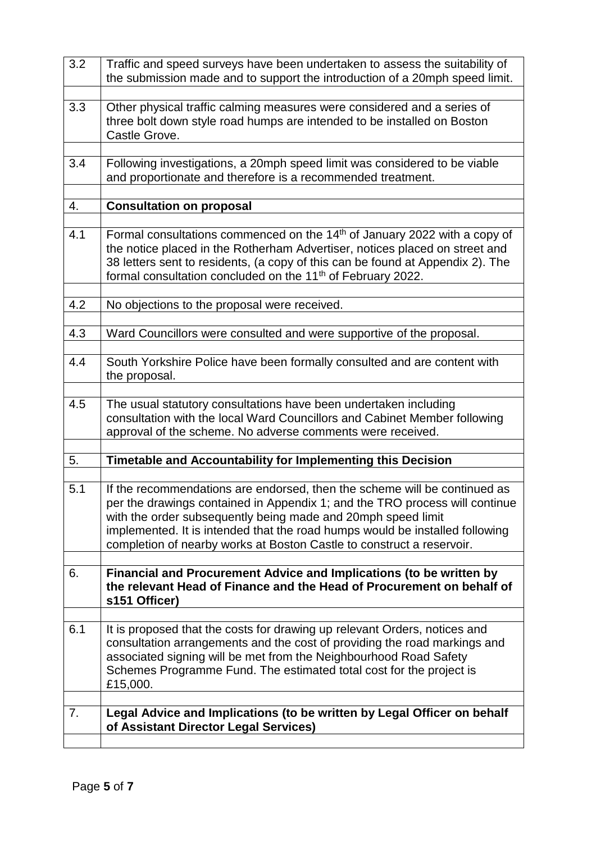| 3.2 | Traffic and speed surveys have been undertaken to assess the suitability of<br>the submission made and to support the introduction of a 20mph speed limit.                                                                                                                                                                                                                        |  |  |  |
|-----|-----------------------------------------------------------------------------------------------------------------------------------------------------------------------------------------------------------------------------------------------------------------------------------------------------------------------------------------------------------------------------------|--|--|--|
| 3.3 | Other physical traffic calming measures were considered and a series of<br>three bolt down style road humps are intended to be installed on Boston<br>Castle Grove.                                                                                                                                                                                                               |  |  |  |
| 3.4 | Following investigations, a 20mph speed limit was considered to be viable<br>and proportionate and therefore is a recommended treatment.                                                                                                                                                                                                                                          |  |  |  |
| 4.  | <b>Consultation on proposal</b>                                                                                                                                                                                                                                                                                                                                                   |  |  |  |
| 4.1 | Formal consultations commenced on the 14 <sup>th</sup> of January 2022 with a copy of<br>the notice placed in the Rotherham Advertiser, notices placed on street and<br>38 letters sent to residents, (a copy of this can be found at Appendix 2). The<br>formal consultation concluded on the 11 <sup>th</sup> of February 2022.                                                 |  |  |  |
| 4.2 | No objections to the proposal were received.                                                                                                                                                                                                                                                                                                                                      |  |  |  |
| 4.3 | Ward Councillors were consulted and were supportive of the proposal.                                                                                                                                                                                                                                                                                                              |  |  |  |
| 4.4 | South Yorkshire Police have been formally consulted and are content with<br>the proposal.                                                                                                                                                                                                                                                                                         |  |  |  |
| 4.5 | The usual statutory consultations have been undertaken including<br>consultation with the local Ward Councillors and Cabinet Member following<br>approval of the scheme. No adverse comments were received.                                                                                                                                                                       |  |  |  |
| 5.  | Timetable and Accountability for Implementing this Decision                                                                                                                                                                                                                                                                                                                       |  |  |  |
| 5.1 | If the recommendations are endorsed, then the scheme will be continued as<br>per the drawings contained in Appendix 1; and the TRO process will continue<br>with the order subsequently being made and 20mph speed limit<br>implemented. It is intended that the road humps would be installed following<br>completion of nearby works at Boston Castle to construct a reservoir. |  |  |  |
| 6.  | Financial and Procurement Advice and Implications (to be written by<br>the relevant Head of Finance and the Head of Procurement on behalf of<br>s151 Officer)                                                                                                                                                                                                                     |  |  |  |
| 6.1 | It is proposed that the costs for drawing up relevant Orders, notices and<br>consultation arrangements and the cost of providing the road markings and<br>associated signing will be met from the Neighbourhood Road Safety<br>Schemes Programme Fund. The estimated total cost for the project is<br>£15,000.                                                                    |  |  |  |
| 7.  | Legal Advice and Implications (to be written by Legal Officer on behalf<br>of Assistant Director Legal Services)                                                                                                                                                                                                                                                                  |  |  |  |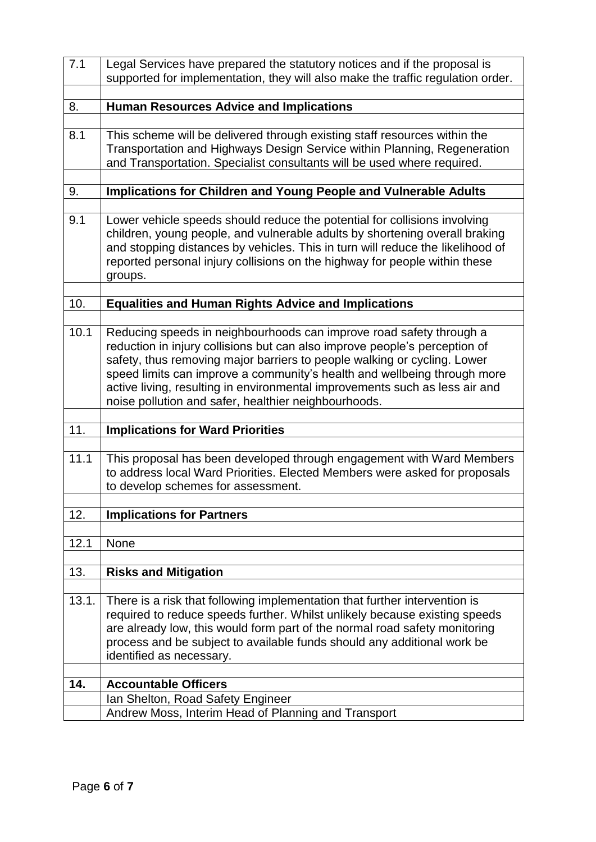| 7.1   | Legal Services have prepared the statutory notices and if the proposal is<br>supported for implementation, they will also make the traffic regulation order.                                                                                                                                                                                                                                                                                     |  |  |  |
|-------|--------------------------------------------------------------------------------------------------------------------------------------------------------------------------------------------------------------------------------------------------------------------------------------------------------------------------------------------------------------------------------------------------------------------------------------------------|--|--|--|
|       |                                                                                                                                                                                                                                                                                                                                                                                                                                                  |  |  |  |
| 8.    | <b>Human Resources Advice and Implications</b>                                                                                                                                                                                                                                                                                                                                                                                                   |  |  |  |
|       |                                                                                                                                                                                                                                                                                                                                                                                                                                                  |  |  |  |
| 8.1   | This scheme will be delivered through existing staff resources within the<br>Transportation and Highways Design Service within Planning, Regeneration<br>and Transportation. Specialist consultants will be used where required.                                                                                                                                                                                                                 |  |  |  |
|       |                                                                                                                                                                                                                                                                                                                                                                                                                                                  |  |  |  |
| 9.    | Implications for Children and Young People and Vulnerable Adults                                                                                                                                                                                                                                                                                                                                                                                 |  |  |  |
| 9.1   | Lower vehicle speeds should reduce the potential for collisions involving<br>children, young people, and vulnerable adults by shortening overall braking<br>and stopping distances by vehicles. This in turn will reduce the likelihood of<br>reported personal injury collisions on the highway for people within these<br>groups.                                                                                                              |  |  |  |
| 10.   | <b>Equalities and Human Rights Advice and Implications</b>                                                                                                                                                                                                                                                                                                                                                                                       |  |  |  |
|       |                                                                                                                                                                                                                                                                                                                                                                                                                                                  |  |  |  |
| 10.1  | Reducing speeds in neighbourhoods can improve road safety through a<br>reduction in injury collisions but can also improve people's perception of<br>safety, thus removing major barriers to people walking or cycling. Lower<br>speed limits can improve a community's health and wellbeing through more<br>active living, resulting in environmental improvements such as less air and<br>noise pollution and safer, healthier neighbourhoods. |  |  |  |
|       |                                                                                                                                                                                                                                                                                                                                                                                                                                                  |  |  |  |
|       |                                                                                                                                                                                                                                                                                                                                                                                                                                                  |  |  |  |
| 11.   | <b>Implications for Ward Priorities</b>                                                                                                                                                                                                                                                                                                                                                                                                          |  |  |  |
|       |                                                                                                                                                                                                                                                                                                                                                                                                                                                  |  |  |  |
| 11.1  | This proposal has been developed through engagement with Ward Members<br>to address local Ward Priorities. Elected Members were asked for proposals<br>to develop schemes for assessment.                                                                                                                                                                                                                                                        |  |  |  |
|       |                                                                                                                                                                                                                                                                                                                                                                                                                                                  |  |  |  |
| 12.   | <b>Implications for Partners</b>                                                                                                                                                                                                                                                                                                                                                                                                                 |  |  |  |
|       |                                                                                                                                                                                                                                                                                                                                                                                                                                                  |  |  |  |
| 12.1  | <b>None</b>                                                                                                                                                                                                                                                                                                                                                                                                                                      |  |  |  |
|       |                                                                                                                                                                                                                                                                                                                                                                                                                                                  |  |  |  |
| 13.   | <b>Risks and Mitigation</b>                                                                                                                                                                                                                                                                                                                                                                                                                      |  |  |  |
|       |                                                                                                                                                                                                                                                                                                                                                                                                                                                  |  |  |  |
| 13.1. | There is a risk that following implementation that further intervention is<br>required to reduce speeds further. Whilst unlikely because existing speeds<br>are already low, this would form part of the normal road safety monitoring<br>process and be subject to available funds should any additional work be<br>identified as necessary.                                                                                                    |  |  |  |
|       |                                                                                                                                                                                                                                                                                                                                                                                                                                                  |  |  |  |
| 14.   | <b>Accountable Officers</b>                                                                                                                                                                                                                                                                                                                                                                                                                      |  |  |  |
|       | Ian Shelton, Road Safety Engineer<br>Andrew Moss, Interim Head of Planning and Transport                                                                                                                                                                                                                                                                                                                                                         |  |  |  |